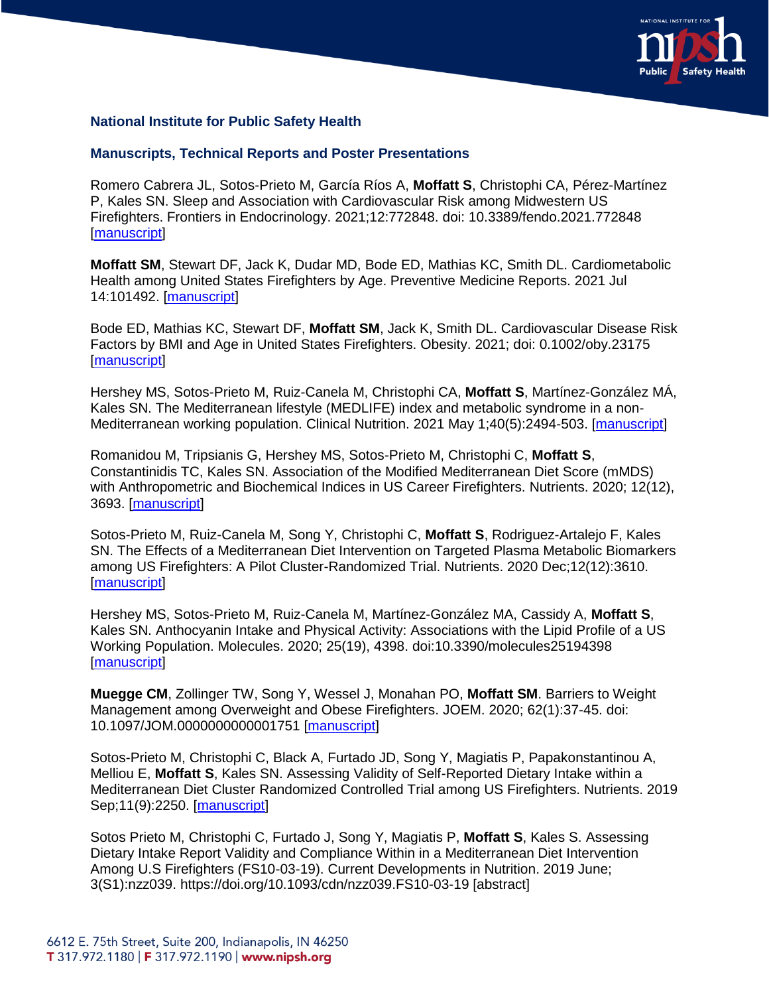

## **National Institute for Public Safety Health**

## **Manuscripts, Technical Reports and Poster Presentations**

Romero Cabrera JL, Sotos-Prieto M, García Ríos A, **Moffatt S**, Christophi CA, Pérez-Martínez P, Kales SN. Sleep and Association with Cardiovascular Risk among Midwestern US Firefighters. Frontiers in Endocrinology. 2021;12:772848. doi: 10.3389/fendo.2021.772848 [\[manuscript\]](https://doi.org/10.3389/fendo.2021.772848)

**Moffatt SM**, Stewart DF, Jack K, Dudar MD, Bode ED, Mathias KC, Smith DL. Cardiometabolic Health among United States Firefighters by Age. Preventive Medicine Reports. 2021 Jul 14:101492. [\[manuscript\]](https://doi.org/10.1016/j.pmedr.2021.101492)

Bode ED, Mathias KC, Stewart DF, **Moffatt SM**, Jack K, Smith DL. Cardiovascular Disease Risk Factors by BMI and Age in United States Firefighters. Obesity. 2021; doi: 0.1002/oby.23175 [\[manuscript\]](https://doi.org/10.1002/oby.23175)

Hershey MS, Sotos-Prieto M, Ruiz-Canela M, Christophi CA, **Moffatt S**, Martínez-González MÁ, Kales SN. The Mediterranean lifestyle (MEDLIFE) index and metabolic syndrome in a non-Mediterranean working population. Clinical Nutrition. 2021 May 1;40(5):2494-503. [\[manuscript\]](https://doi.org/10.1016/j.clnu.2021.03.026)

Romanidou M, Tripsianis G, Hershey MS, Sotos-Prieto M, Christophi C, **Moffatt S**, Constantinidis TC, Kales SN. Association of the Modified Mediterranean Diet Score (mMDS) with Anthropometric and Biochemical Indices in US Career Firefighters. Nutrients. 2020; 12(12), 3693. [\[manuscript\]](https://doi.org/10.3390/nu12123693)

Sotos-Prieto M, Ruiz-Canela M, Song Y, Christophi C, **Moffatt S**, Rodriguez-Artalejo F, Kales SN. The Effects of a Mediterranean Diet Intervention on Targeted Plasma Metabolic Biomarkers among US Firefighters: A Pilot Cluster-Randomized Trial. Nutrients. 2020 Dec;12(12):3610. [\[manuscript\]](https://doi.org/10.3390/nu12123610)

Hershey MS, Sotos-Prieto M, Ruiz-Canela M, Martínez-González MA, Cassidy A, **Moffatt S**, Kales SN. Anthocyanin Intake and Physical Activity: Associations with the Lipid Profile of a US Working Population. Molecules. 2020; 25(19), 4398. doi:10.3390/molecules25194398 [\[manuscript\]](https://doi.org/10.3390/molecules25194398)

**Muegge CM**, Zollinger TW, Song Y, Wessel J, Monahan PO, **Moffatt SM**. Barriers to Weight Management among Overweight and Obese Firefighters. JOEM. 2020; 62(1):37-45. doi: 10.1097/JOM.0000000000001751 [\[manuscript\]](doi.org/10.1097/JOM.0000000000001751)

Sotos-Prieto M, Christophi C, Black A, Furtado JD, Song Y, Magiatis P, Papakonstantinou A, Melliou E, **Moffatt S**, Kales SN. Assessing Validity of Self-Reported Dietary Intake within a Mediterranean Diet Cluster Randomized Controlled Trial among US Firefighters. Nutrients. 2019 Sep;11(9):2250. [\[manuscript\]](https://www.mdpi.com/2072-6643/11/9/2250/htm)

Sotos Prieto M, Christophi C, Furtado J, Song Y, Magiatis P, **Moffatt S**, Kales S. Assessing Dietary Intake Report Validity and Compliance Within in a Mediterranean Diet Intervention Among U.S Firefighters (FS10-03-19). Current Developments in Nutrition. 2019 June; 3(S1):nzz039. https://doi.org/10.1093/cdn/nzz039.FS10-03-19 [abstract]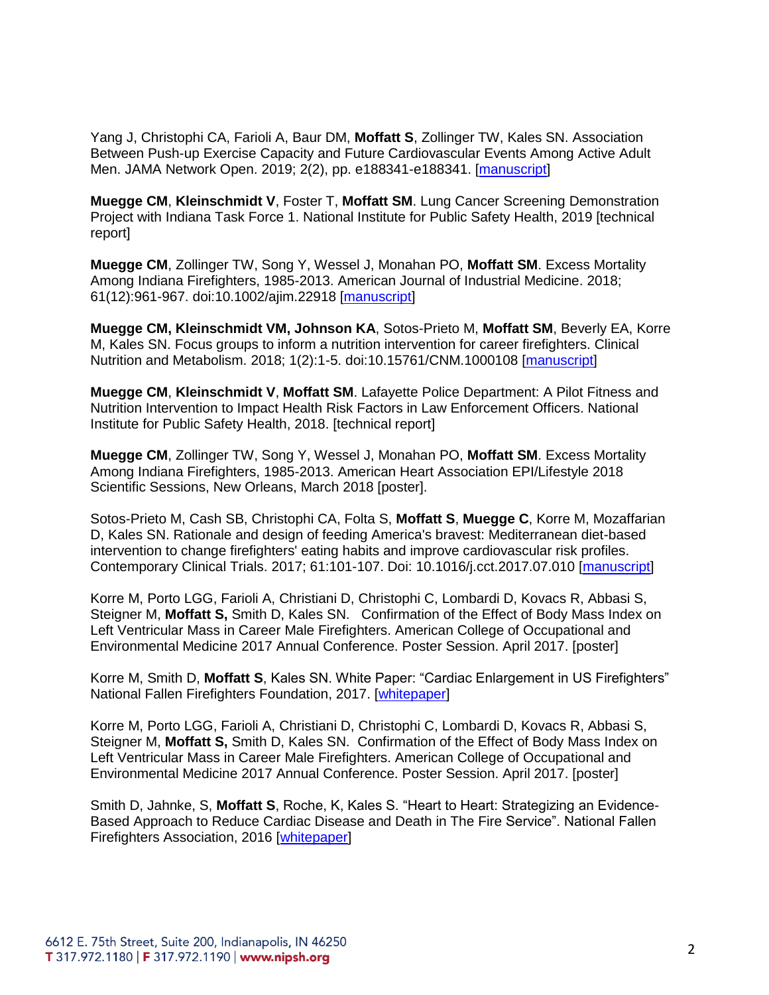Yang J, Christophi CA, Farioli A, Baur DM, **Moffatt S**, Zollinger TW, Kales SN. Association Between Push-up Exercise Capacity and Future Cardiovascular Events Among Active Adult Men. JAMA Network Open. 2019; 2(2), pp. e188341-e188341. [\[manuscript\]](https://www.ncbi.nlm.nih.gov/pmc/articles/PMC6484614/)

**Muegge CM**, **Kleinschmidt V**, Foster T, **Moffatt SM**. Lung Cancer Screening Demonstration Project with Indiana Task Force 1. National Institute for Public Safety Health, 2019 [technical report]

**Muegge CM**, Zollinger TW, Song Y, Wessel J, Monahan PO, **Moffatt SM**. Excess Mortality Among Indiana Firefighters, 1985-2013. American Journal of Industrial Medicine. 2018; 61(12):961-967. doi:10.1002/ajim.22918 [\[manuscript\]](https://doi.org/10.1002/ajim.22918)

**Muegge CM, Kleinschmidt VM, Johnson KA**, Sotos-Prieto M, **Moffatt SM**, Beverly EA, Korre M, Kales SN. Focus groups to inform a nutrition intervention for career firefighters. Clinical Nutrition and Metabolism. 2018; 1(2):1-5. doi:10.15761/CNM.1000108 [\[manuscript\]](DOI.org/10.15761/CNM.1000108)

**Muegge CM**, **Kleinschmidt V**, **Moffatt SM**. Lafayette Police Department: A Pilot Fitness and Nutrition Intervention to Impact Health Risk Factors in Law Enforcement Officers. National Institute for Public Safety Health, 2018. [technical report]

**Muegge CM**, Zollinger TW, Song Y, Wessel J, Monahan PO, **Moffatt SM**. Excess Mortality Among Indiana Firefighters, 1985-2013. American Heart Association EPI/Lifestyle 2018 Scientific Sessions, New Orleans, March 2018 [poster].

Sotos-Prieto M, Cash SB, Christophi CA, Folta S, **Moffatt S**, **Muegge C**, Korre M, Mozaffarian D, Kales SN. Rationale and design of feeding America's bravest: Mediterranean diet-based intervention to change firefighters' eating habits and improve cardiovascular risk profiles. Contemporary Clinical Trials. 2017; 61:101-107. Doi: 10.1016/j.cct.2017.07.010 [\[manuscript\]](doi.org/10.1016/j.cct.2017.07.010)

Korre M, Porto LGG, Farioli A, Christiani D, Christophi C, Lombardi D, Kovacs R, Abbasi S, Steigner M, **Moffatt S,** Smith D, Kales SN. Confirmation of the Effect of Body Mass Index on Left Ventricular Mass in Career Male Firefighters. American College of Occupational and Environmental Medicine 2017 Annual Conference. Poster Session. April 2017. [poster]

Korre M, Smith D, **Moffatt S**, Kales SN. White Paper: "Cardiac Enlargement in US Firefighters" National Fallen Firefighters Foundation, 2017. [\[whitepaper\]](http://www.everyonegoeshome.com/wp-content/uploads/sites/2/2017/07/cardiac-wp-2017-FINAL.pdf)

Korre M, Porto LGG, Farioli A, Christiani D, Christophi C, Lombardi D, Kovacs R, Abbasi S, Steigner M, **Moffatt S,** Smith D, Kales SN. Confirmation of the Effect of Body Mass Index on Left Ventricular Mass in Career Male Firefighters. American College of Occupational and Environmental Medicine 2017 Annual Conference. Poster Session. April 2017. [poster]

Smith D, Jahnke, S, **Moffatt S**, Roche, K, Kales S. "Heart to Heart: Strategizing an Evidence-Based Approach to Reduce Cardiac Disease and Death in The Fire Service". National Fallen Firefighters Association, 2016 [\[whitepaper\]](http://www.everyonegoeshome.com/wp-content/uploads/sites/2/2016/06/Heart-to-Heart-WP2016.pdf)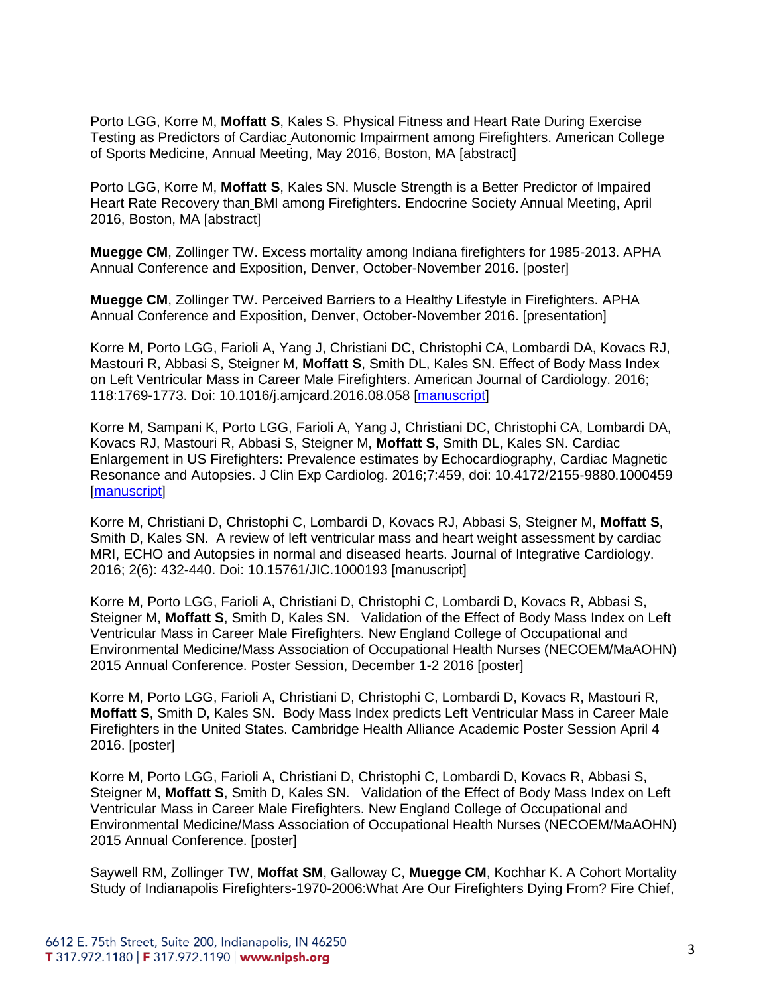Porto LGG, Korre M, **Moffatt S**, Kales S. Physical Fitness and Heart Rate During Exercise Testing as Predictors of Cardiac Autonomic Impairment among Firefighters. American College of Sports Medicine, Annual Meeting, May 2016, Boston, MA [abstract]

Porto LGG, Korre M, **Moffatt S**, Kales SN. Muscle Strength is a Better Predictor of Impaired Heart Rate Recovery than BMI among Firefighters. Endocrine Society Annual Meeting, April 2016, Boston, MA [abstract]

**Muegge CM**, Zollinger TW. Excess mortality among Indiana firefighters for 1985-2013. APHA Annual Conference and Exposition, Denver, October-November 2016. [poster]

**Muegge CM**, Zollinger TW. Perceived Barriers to a Healthy Lifestyle in Firefighters. APHA Annual Conference and Exposition, Denver, October-November 2016. [presentation]

Korre M, Porto LGG, Farioli A, Yang J, Christiani DC, Christophi CA, Lombardi DA, Kovacs RJ, Mastouri R, Abbasi S, Steigner M, **Moffatt S**, Smith DL, Kales SN. Effect of Body Mass Index on Left Ventricular Mass in Career Male Firefighters. American Journal of Cardiology. 2016; 118:1769-1773. Doi: 10.1016/j.amjcard.2016.08.058 [\[manuscript\]](doi.org/10.1016/j.amjcard.2016.08.058)

Korre M, Sampani K, Porto LGG, Farioli A, Yang J, Christiani DC, Christophi CA, Lombardi DA, Kovacs RJ, Mastouri R, Abbasi S, Steigner M, **Moffatt S**, Smith DL, Kales SN. Cardiac Enlargement in US Firefighters: Prevalence estimates by Echocardiography, Cardiac Magnetic Resonance and Autopsies. J Clin Exp Cardiolog. 2016;7:459, doi: 10.4172/2155-9880.1000459 [\[manuscript\]](doi.org/10.4172/2155-9880.1000459)

Korre M, Christiani D, Christophi C, Lombardi D, Kovacs RJ, Abbasi S, Steigner M, **Moffatt S**, Smith D, Kales SN. A review of left ventricular mass and heart weight assessment by cardiac MRI, ECHO and Autopsies in normal and diseased hearts. Journal of Integrative Cardiology. 2016; 2(6): 432-440. Doi: 10.15761/JIC.1000193 [manuscript]

Korre M, Porto LGG, Farioli A, Christiani D, Christophi C, Lombardi D, Kovacs R, Abbasi S, Steigner M, **Moffatt S**, Smith D, Kales SN. Validation of the Effect of Body Mass Index on Left Ventricular Mass in Career Male Firefighters. New England College of Occupational and Environmental Medicine/Mass Association of Occupational Health Nurses (NECOEM/MaAOHN) 2015 Annual Conference. Poster Session, December 1-2 2016 [poster]

Korre M, Porto LGG, Farioli A, Christiani D, Christophi C, Lombardi D, Kovacs R, Mastouri R, **Moffatt S**, Smith D, Kales SN. Body Mass Index predicts Left Ventricular Mass in Career Male Firefighters in the United States. Cambridge Health Alliance Academic Poster Session April 4 2016. [poster]

Korre M, Porto LGG, Farioli A, Christiani D, Christophi C, Lombardi D, Kovacs R, Abbasi S, Steigner M, **Moffatt S**, Smith D, Kales SN. Validation of the Effect of Body Mass Index on Left Ventricular Mass in Career Male Firefighters. New England College of Occupational and Environmental Medicine/Mass Association of Occupational Health Nurses (NECOEM/MaAOHN) 2015 Annual Conference. [poster]

Saywell RM, Zollinger TW, **Moffat SM**, Galloway C, **Muegge CM**, Kochhar K. A Cohort Mortality Study of Indianapolis Firefighters-1970-2006:What Are Our Firefighters Dying From? Fire Chief,